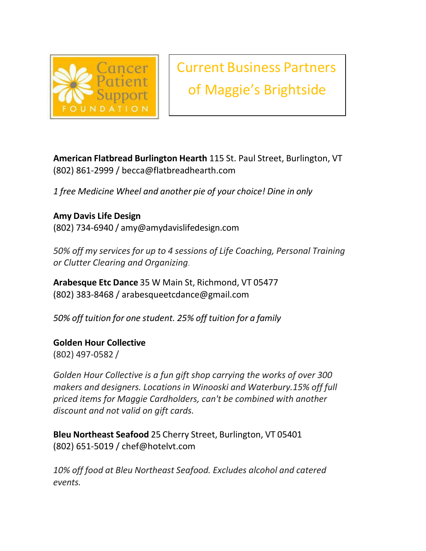

Current Business Partners of Maggie's Brightside

**American Flatbread Burlington Hearth** 115 St. Paul Street, Burlington, VT (802) 861-2999 / [becca@flatbreadhearth.com](mailto:becca@flatbreadhearth.com)

*1 free Medicine Wheel and another pie of your choice! Dine in only*

**Amy Davis Life Design** (802) 734-6940 / [amy@amydavislifedesign.com](mailto:amy@amydavislifedesign.com)

*50% off my services for up to 4 sessions of Life Coaching, Personal Training or Clutter Clearing and Organizing*.

**Arabesque Etc Dance** 35 W Main St, Richmond, VT 05477 (802) 383-8468 / [arabesqueetcdance@gmail.com](mailto:arabesqueetcdance@gmail.com)

*50% off tuition for one student. 25% off tuition for a family*

**Golden Hour Collective** (802) 497-0582 /

*Golden Hour Collective is a fun gift shop carrying the works of over 300 makers and designers. Locations in Winooski and Waterbury.15% off full priced items for Maggie Cardholders, can't be combined with another discount and not valid on gift cards.*

**Bleu Northeast Seafood** 25 Cherry Street, Burlington, VT 05401 (802) 651-5019 / [chef@hotelvt.com](mailto:chef@hotelvt.com)

*10% off food at Bleu Northeast Seafood. Excludes alcohol and catered events.*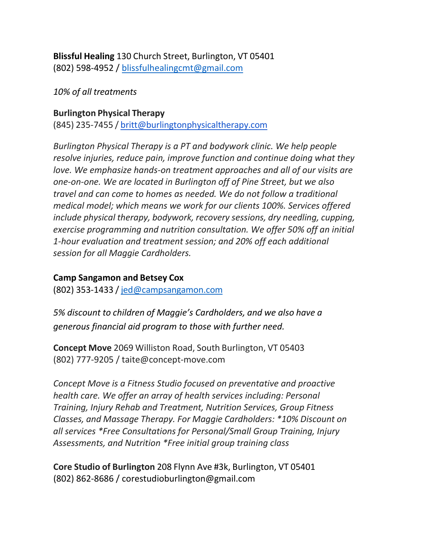**Blissful Healing** 130 Church Street, Burlington, VT 05401 (802) 598-4952 / [blissfulhealingcmt@gmail.com](mailto:blissfulhealingcmt@gmail.com)

*10% of all treatments*

# **Burlington Physical Therapy**

(845) 235-7455 / [britt@burlingtonphysicaltherapy.com](mailto:britt@burlingtonphysicaltherapy.com)

*Burlington Physical Therapy is a PT and bodywork clinic. We help people resolve injuries, reduce pain, improve function and continue doing what they love. We emphasize hands-on treatment approaches and all of our visits are one-on-one. We are located in Burlington off of Pine Street, but we also travel and can come to homes as needed. We do not follow a traditional medical model; which means we work for our clients 100%. Services offered include physical therapy, bodywork, recovery sessions, dry needling, cupping, exercise programming and nutrition consultation. We offer 50% off an initial 1-hour evaluation and treatment session; and 20% off each additional session for all Maggie Cardholders.*

# **Camp Sangamon and Betsey Cox**

(802) 353-1433 / [jed@campsangamon.com](mailto:jed@campsangamon.com)

*5% discount to children of Maggie's Cardholders, and we also have a generous financial aid program to those with further need.*

**Concept Move** 2069 Williston Road, South Burlington, VT 05403 (802) 777-9205 / [taite@concept-move.com](mailto:taite@concept-move.com)

*Concept Move is a Fitness Studio focused on preventative and proactive health care. We offer an array of health services including: Personal Training, Injury Rehab and Treatment, Nutrition Services, Group Fitness Classes, and Massage Therapy. For Maggie Cardholders: \*10% Discount on all services \*Free Consultations for Personal/Small Group Training, Injury Assessments, and Nutrition \*Free initial group training class*

**Core Studio of Burlington** 208 Flynn Ave #3k, Burlington, VT 05401 (802) 862-8686 / [corestudioburlington@gmail.com](mailto:corestudioburlington@gmail.com)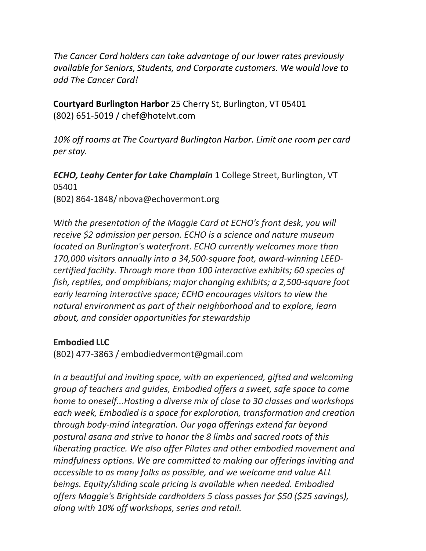*The Cancer Card holders can take advantage of our lower rates previously available for Seniors, Students, and Corporate customers. We would love to add The Cancer Card!*

**Courtyard Burlington Harbor** 25 Cherry St, Burlington, VT 05401 (802) 651-5019 / [chef@hotelvt.com](mailto:chef@hotelvt.com)

*10% off rooms at The Courtyard Burlington Harbor. Limit one room per card per stay.*

*ECHO, Leahy Center for Lake Champlain* 1 College Street, Burlington, VT 05401 (802) 864-1848/ [nbova@echovermont.org](mailto:nbova@echovermont.org)

*With the presentation of the Maggie Card at ECHO's front desk, you will receive \$2 admission per person. ECHO is a science and nature museum located on Burlington's waterfront. ECHO currently welcomes more than 170,000 visitors annually into a 34,500-square foot, award-winning LEEDcertified facility. Through more than 100 interactive exhibits; 60 species of fish, reptiles, and amphibians; major changing exhibits; a 2,500-square foot early learning interactive space; ECHO encourages visitors to view the natural environment as part of their neighborhood and to explore, learn about, and consider opportunities for stewardship*

#### **Embodied LLC**

(802) 477-3863 / [embodiedvermont@gmail.com](mailto:embodiedvermont@gmail.com)

*In a beautiful and inviting space, with an experienced, gifted and welcoming group of teachers and guides, Embodied offers a sweet, safe space to come home to oneself...Hosting a diverse mix of close to 30 classes and workshops each week, Embodied is a space for exploration, transformation and creation through body-mind integration. Our yoga offerings extend far beyond postural asana and strive to honor the 8 limbs and sacred roots of this liberating practice. We also offer Pilates and other embodied movement and mindfulness options. We are committed to making our offerings inviting and accessible to as many folks as possible, and we welcome and value ALL beings. Equity/sliding scale pricing is available when needed. Embodied offers Maggie's Brightside cardholders 5 class passes for \$50 (\$25 savings), along with 10% off workshops, series and retail.*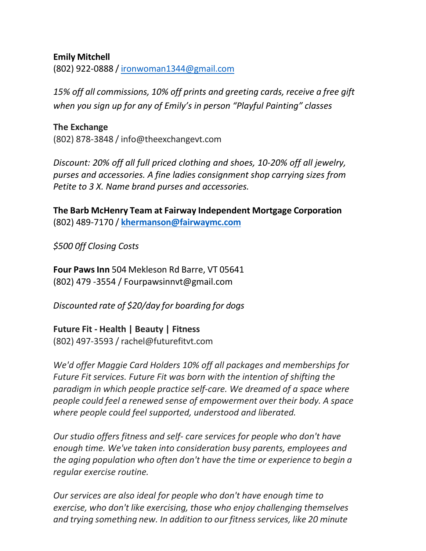#### **Emily Mitchell**

(802) 922-0888 / [ironwoman1344@gmail.com](mailto:ironwoman1344@gmail.com)

*15% off all commissions, 10% off prints and greeting cards, receive a free gift when you sign up for any of Emily's in person "Playful Painting" classes*

**The Exchange** (802) 878-3848 / [info@theexchangevt.com](mailto:info@theexchangevt.com)

*Discount: 20% off all full priced clothing and shoes, 10-20% off all jewelry, purses and accessories. A fine ladies consignment shop carrying sizes from Petite to 3 X. Name brand purses and accessories.*

**The Barb McHenry Team at Fairway Independent Mortgage Corporation** (802) 489-7170 / **[khermanson@fairwaymc.com](mailto:khermanson@fairwaymc.com)**

*\$500 0ff Closing Costs*

**Four Paws Inn** 504 Mekleson Rd Barre, VT 05641 (802) 479 -3554 / [Fourpawsinnvt@gmail.com](mailto:Fourpawsinnvt@gmail.com)

*Discounted rate of \$20/day for boarding for dogs*

**Future Fit - Health | Beauty | Fitness** (802) 497-3593 / [rachel@futurefitvt.com](mailto:rachel@futurefitvt.com)

*We'd offer Maggie Card Holders 10% off all packages and memberships for Future Fit services. Future Fit was born with the intention of shifting the paradigm in which people practice self-care. We dreamed of a space where people could feel a renewed sense of empowerment over their body. A space where people could feel supported, understood and liberated.*

*Our studio offers fitness and self- care services for people who don't have enough time. We've taken into consideration busy parents, employees and the aging population who often don't have the time or experience to begin a regular exercise routine.*

*Our services are also ideal for people who don't have enough time to exercise, who don't like exercising, those who enjoy challenging themselves and trying something new. In addition to our fitness services, like 20 minute*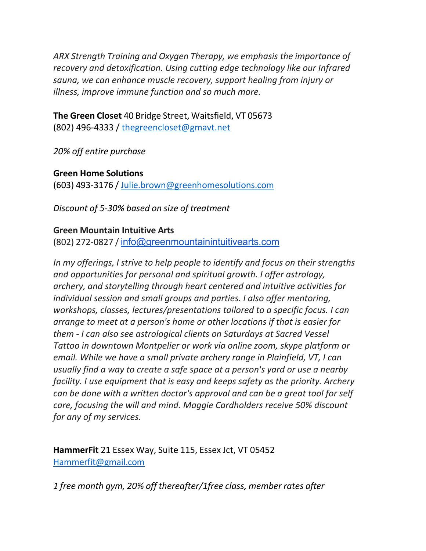*ARX Strength Training and Oxygen Therapy, we emphasis the importance of recovery and detoxification. Using cutting edge technology like our Infrared sauna, we can enhance muscle recovery, support healing from injury or illness, improve immune function and so much more.*

**The Green Closet** 40 Bridge Street, Waitsfield, VT 05673 (802) 496-4333 / [thegreencloset@gmavt.net](mailto:thegreencloset@gmavt.net)

*20% off entire purchase*

**Green Home Solutions** (603) 493-3176 / [Julie.brown@greenhomesolutions.com](mailto:Julie.brown@greenhomesolutions.com)

*Discount of 5-30% based on size of treatment*

#### **Green Mountain Intuitive Arts**

(802) 272-0827 / [info@greenmountainintuitivearts.com](mailto:info@greenmountainintuitivearts.com)

*In my offerings, I strive to help people to identify and focus on their strengths and opportunities for personal and spiritual growth. I offer astrology, archery, and storytelling through heart centered and intuitive activities for individual session and small groups and parties. I also offer mentoring, workshops, classes, lectures/presentations tailored to a specific focus. I can arrange to meet at a person's home or other locations if that is easier for them - I can also see astrological clients on Saturdays at Sacred Vessel Tattoo in downtown Montpelier or work via online zoom, skype platform or email. While we have a small private archery range in Plainfield, VT, I can usually find a way to create a safe space at a person's yard or use a nearby facility. I use equipment that is easy and keeps safety as the priority. Archery can be done with a written doctor's approval and can be a great tool for self care, focusing the will and mind. Maggie Cardholders receive 50% discount for any of my services.*

**HammerFit** 21 Essex Way, Suite 115, Essex Jct, VT 05452 [Hammerfit@gmail.com](mailto:Hammerfit@gmail.com)

*1 free month gym, 20% off thereafter/1free class, member rates after*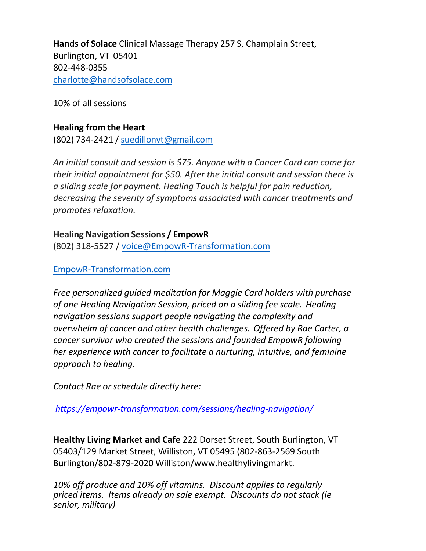**Hands of Solace** Clinical Massage Therapy 257 S, Champlain Street, Burlington, VT 05401 802-448-0355 [charlotte@handsofsolace.com](mailto:charlotte@handsofsolace.com)

10% of all sessions

#### **Healing from the Heart**

(802) 734-2421 / [suedillonvt@gmail.com](mailto:suedillonvt@gmail.com)

*An initial consult and session is \$75. Anyone with a Cancer Card can come for their initial appointment for \$50. After the initial consult and session there is a sliding scale for payment. Healing Touch is helpful for pain reduction, decreasing the severity of symptoms associated with cancer treatments and promotes relaxation.*

## **Healing Navigation Sessions / EmpowR**

(802) 318-5527 / [voice@EmpowR-Transformation.com](mailto:raecarter@hotmail.com)

## EmpowR-Transformation.com

*Free personalized guided meditation for Maggie Card holders with purchase of one Healing Navigation Session, priced on a sliding fee scale. Healing navigation sessions support people navigating the complexity and overwhelm of cancer and other health challenges. Offered by Rae Carter, a cancer survivor who created the sessions and founded EmpowR following her experience with cancer to facilitate a nurturing, intuitive, and feminine approach to healing.*

*Contact Rae or schedule directly here:*

*<https://empowr-transformation.com/sessions/healing-navigation/>*

**Healthy Living Market and Cafe** 222 Dorset Street, South Burlington, VT 05403/129 Ma[rket Street, Williston, VT](mailto:Kelly@heartsongreiki.com) 05495 (802-863-2569 South Burlington/802-879-2020 Williston/www.healthylivingmarkt.

*10% off produce and 10% off vitamins. Discount applies to regularly priced items. Items already on sale exempt. Discounts do not stack (ie senior, military)*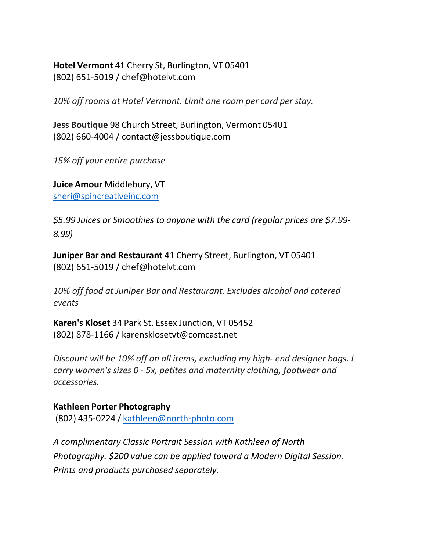**Hotel Vermont** 41 Cherry St, Burlington, VT 05401 (802) 651-5019 / [chef@hotelvt.com](mailto:chef@hotelvt.com)

*10% off rooms at Hotel Vermont. Limit one room per card per stay.*

**Jess Boutique** 98 Church Street, Burlington, Vermont 05401 (802) 660-4004 / [contact@jessboutique.com](mailto:contact@jessboutique.com)

*15% off your entire purchase*

**Juice Amour** Middlebury, VT [sheri@spincreativeinc.com](mailto:sheri@spincreativeinc.com)

*\$5.99 Juices or Smoothies to anyone with the card (regular prices are \$7.99- 8.99)*

**Juniper Bar and Restaurant** 41 Cherry Street, Burlington, VT 05401 (802) 651-5019 / [chef@hotelvt.com](mailto:chef@hotelvt.com)

*10% off food at Juniper Bar and Restaurant. Excludes alcohol and catered events*

**Karen's Kloset** 34 Park St. Essex Junction, VT 05452 (802) 878-1166 / [karensklosetvt@comcast.net](mailto:karensklosetvt@comcast.net)

*Discount will be 10% off on all items, excluding my high- end designer bags. I carry women's sizes 0 - 5x, petites and maternity clothing, footwear and accessories.*

**Kathleen Porter Photography** (802) 435-0224 / [kathleen@north-photo.com](mailto:kathleen@north-photo.com)

*A complimentary Classic Portrait Session with Kathleen of North Photography. \$200 value can be applied toward a Modern Digital Session. Prints and products purchased separately.*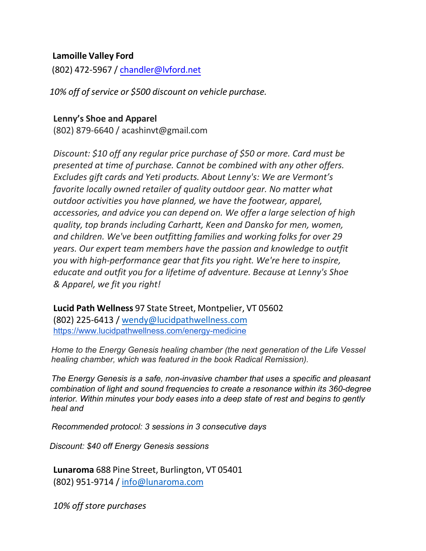#### **Lamoille Valley Ford**

(802) 472-5967 / [chandler@lvford.net](mailto:chandler@lvford.net)

*10% off of service or \$500 discount on vehicle purchase.*

#### **Lenny's Shoe and Apparel**

(802) 879-6640 / [acashinvt@gmail.com](mailto:acashin@lennyshoe.com)

*Discount: \$10 off any regular price purchase of \$50 or more. Card must be presented at time of purchase. Cannot be combined with any other offers. Excludes gift cards and Yeti products. About Lenny's: We are Vermont's favorite locally owned retailer of quality outdoor gear. No matter what outdoor activities you have planned, we have the footwear, apparel, accessories, and advice you can depend on. We offer a large selection of high quality, top brands including Carhartt, Keen and Dansko for men, women, and children. We've been outfitting families and working folks for over 29 years. Our expert team members have the passion and knowledge to outfit you with high-performance gear that fits you right. We're here to inspire, educate and outfit you for a lifetime of adventure. Because at Lenny's Shoe & Apparel, we fit you right!*

**Lucid Path Wellness** 97 State Street, Montpelier, VT 05602 (802) 225-6413 / [wendy@lucidpathwellness.com](mailto:wendy@lucidpathwellness.com) <https://www.lucidpathwellness.com/energy-medicine>

*Home to the Energy Genesis healing chamber (the next generation of the Life Vessel healing chamber, which was featured in the book Radical Remission).*

 *The Energy Genesis is a safe, non-invasive chamber that uses a specific and pleasant combination of light and sound frequencies to create a resonance within its 360-degree interior. Within minutes your body eases into a deep state of rest and begins to gently heal and* 

 *Recommended protocol: 3 sessions in 3 consecutive days* 

 *Discount: \$40 off Energy Genesis sessions*

**Lunaroma** 688 Pine Street, Burlington, VT 05401 (802) 951-9714 / [info@lunaroma.com](mailto:info@lunaroma.com)

*10% off store purchases*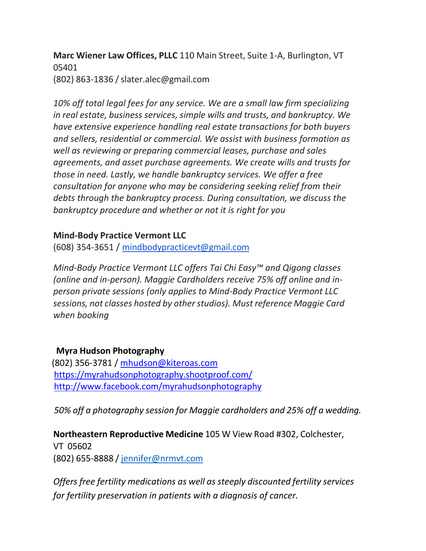**Marc Wiener Law Offices, PLLC** 110 Main Street, Suite 1-A, Burlington, VT 05401 (802) 863-1836 [/ slater.alec@gmail.com](mailto:slater.alec@gmail.com)

*10% off total legal fees for any service. We are a small law firm specializing in real estate, business services, simple wills and trusts, and bankruptcy. We have extensive experience handling real estate transactions for both buyers and sellers, residential or commercial. We assist with business formation as well as reviewing or preparing commercial leases, purchase and sales agreements, and asset purchase agreements. We create wills and trusts for those in need. Lastly, we handle bankruptcy services. We offer a free consultation for anyone who may be considering seeking relief from their debts through the bankruptcy process. During consultation, we discuss the bankruptcy procedure and whether or not it is right for you*

## **Mind-Body Practice Vermont LLC**

(608) 354-3651 / [mindbodypracticevt@gmail.com](mailto:mindbodypracticevt@gmail.com)

*Mind-Body Practice Vermont LLC offers Tai Chi Easy™ and Qigong classes (online and in-person). Maggie Cardholders receive 75% off online and inperson private sessions (only applies to Mind-Body Practice Vermont LLC sessions, not classes hosted by otherstudios). Must reference Maggie Card when booking*

## **Myra Hudson Photography**

(802) 356-3781 / [mhudson@kiteroas.com](mailto:mhudson@kiteroas.com) <https://myrahudsonphotography.shootproof.com/> <http://www.facebook.com/myrahudsonphotography>

*50% off a photography session for Maggie cardholders and 25% off a wedding.*

**Northeastern Reproductive Medicine** 105 W View Road #302, Colchester, VT 05602 (802) 655-8888 / [jennifer@nrmvt.com](mailto:jennifer@nrmvt.com)

*Offers free fertility medications as well as steeply discounted fertility services for fertility preservation in patients with a diagnosis of cancer.*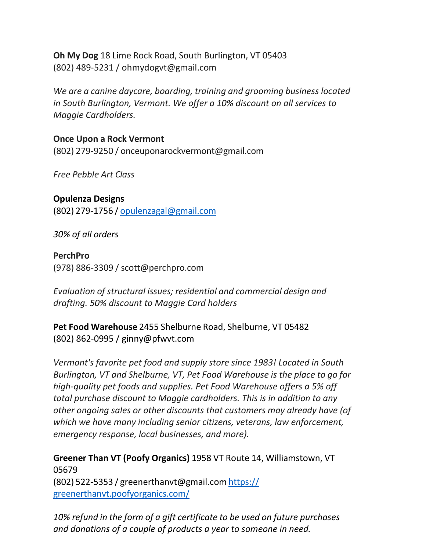**Oh My Dog** 18 Lime Rock Road, South Burlington, VT 05403 (802) 489-5231 / [ohmydogvt@gmail.com](mailto:ohmydogvt@gmail.com)

*We are a canine daycare, boarding, training and grooming business located in South Burlington, Vermont. We offer a 10% discount on all services to Maggie Cardholders.*

**Once Upon a Rock Vermont** (802) 279-9250 / [onceuponarockvermont@gmail.com](mailto:onceuponarockvermont@gmail.com)

*Free Pebble Art Class*

**Opulenza Designs** (802) 279-1756 / [opulenzagal@gmail.com](mailto:classen@myfairpoint.net)

*30% of all orders*

## **PerchPro**

(978) 886-3309 / [scott@perchpro.com](mailto:scott@perchpro.com)

*Evaluation of structural issues; residential and commercial design and drafting. 50% discount to Maggie Card holders*

**Pet Food Warehouse** 2455 Shelburne Road, Shelburne, VT 05482 (802) 862-0995 / [ginny@pfwvt.com](mailto:ginny@pfwvt.com)

*Vermont's favorite pet food and supply store since 1983! Located in South Burlington, VT and Shelburne, VT, Pet Food Warehouse is the place to go for high-quality pet foods and supplies. Pet Food Warehouse offers a 5% off total purchase discount to Maggie cardholders. This is in addition to any other ongoing sales or other discounts that customers may already have (of which we have many including senior citizens, veterans, law enforcement, emergency response, local businesses, and more).*

**Greener Than VT (Poofy Organics)** 1958 VT Route 14, Williamstown, VT 05679 (802) 522-5353 / [greenerthanvt@gmail.com](mailto:greenerthanvt@gmail.com) https:// greenerthanvt.poofyorganics.com/

*10% refund in the form of a gift certificate to be used on future purchases and donations of a couple of products a year to someone in need.*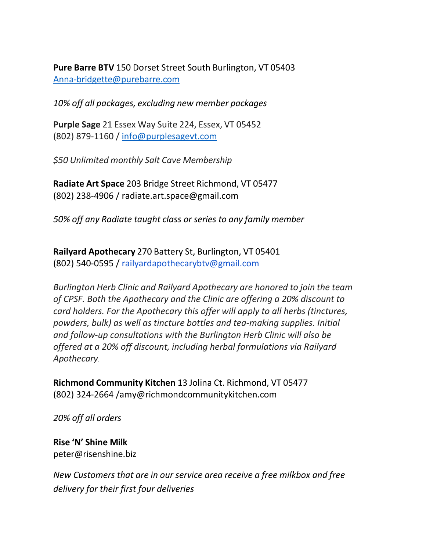**Pure Barre BTV** 150 Dorset Street South Burlington, VT 05403 [Anna-bridgette@purebarre.com](mailto:Anna-bridgette@purebarre.com)

*10% off all packages, excluding new member packages*

**Purple Sage** 21 Essex Way Suite 224, Essex, VT 05452 (802) 879-1160 / [info@purplesagevt.com](mailto:info@purplesagevt.com)

*\$50 Unlimited monthly Salt Cave Membership*

**Radiate Art Space** 203 Bridge Street Richmond, VT 05477 (802) 238-4906 / [radiate.art.space@gmail.com](mailto:radiate.art.space@gmail.com)

*50% off any Radiate taught class or series to any family member*

**Railyard Apothecary** 270 Battery St, Burlington, VT 05401 (802) 540-0595 / [railyardapothecarybtv@gmail.com](mailto:railyardapothecarybtv@gmail.com)

*Burlington Herb Clinic and Railyard Apothecary are honored to join the team of CPSF. Both the Apothecary and the Clinic are offering a 20% discount to card holders. For the Apothecary this offer will apply to all herbs (tinctures, powders, bulk) as well as tincture bottles and tea-making supplies. Initial and follow-up consultations with the Burlington Herb Clinic will also be offered at a 20% off discount, including herbal formulations via Railyard Apothecary*.

**Richmond Community Kitchen** 13 Jolina Ct. Richmond, VT 05477 [\(802\) 324-2664 /amy@r](mailto:susan@richmondcommunitykitchen.com)ichmondcommunitykitchen.com

*20% off all orders*

**Rise 'N' Shine Milk** [peter@risenshine.biz](mailto:peter@risenshine.biz)

*New Customers that are in our service area receive a free milkbox and free delivery for their first four deliveries*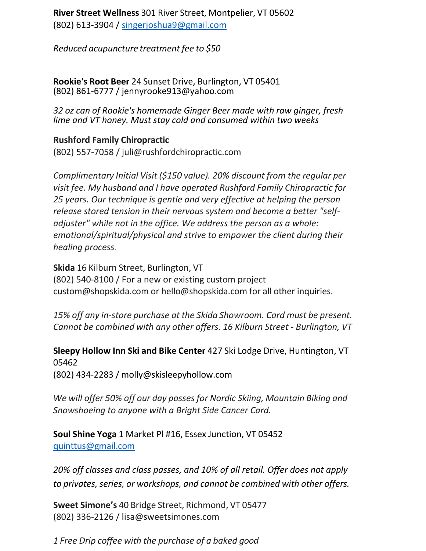**River Street Wellness** 301 River Street, Montpelier, VT 05602 (802) 613-3904 /  $singerjoshua9@gmail.com$ 

*Reduced acupuncture treatment fee to \$50*

**Rookie's Root Beer** 24 Sunset Drive, Burlington, VT 05401 (802) 861-6777 / [jennyrooke913@yahoo.com](mailto:jennyrooke913@yahoo.com)

*32 oz can of Rookie's homemade Ginger Beer made with raw ginger, fresh lime and VT honey. Must stay cold and consumed within two weeks*

## **Rushford Family Chiropractic**

(802) 557-7058 / [juli@rushfordchiropractic.com](mailto:juli@rushfordchiropractic.com)

*Complimentary Initial Visit (\$150 value). 20% discount from the regular per visit fee. My husband and I have operated Rushford Family Chiropractic for 25 years. Our technique is gentle and very effective at helping the person release stored tension in their nervous system and become a better "selfadjuster" while not in the office. We address the person as a whole: emotional/spiritual/physical and strive to empower the client during their healing process*.

**Skida** 16 Kilburn Street, Burlington, VT (802) 540-8100 / [For a new or existing c](mailto:jill@shopskida.com)ustom project [custom@shopskida.com](mailto:custom@shopskida.com) or [hello@shopskida.com f](mailto:hello@shopskida.com)or all other inquiries.

*15% off any in-store purchase at the Skida Showroom. Card must be present. Cannot be combined with any other offers. 16 Kilburn Street - Burlington, VT*

**Sleepy Hollow Inn Ski and Bike Center** 427 Ski Lodge Drive, Huntington, VT 05462

(802) 434-2283 / [molly@skisleepyhollow.com](mailto:molly@skisleepyhollow.com)

*We will offer 50% off our day passes for Nordic Skiing, Mountain Biking and Snowshoeing to anyone with a Bright Side Cancer Card.*

**Soul Shine Yoga** 1 Market Pl #16, Essex Junction, VT 05452 [quinttus@gmail.com](mailto:quinttus@gmail.com)

*20% off classes and class passes, and 10% of all retail. Offer does not apply to privates, series, or workshops, and cannot be combined with other offers.*

**Sweet Simone's** 40 Bridge Street, [Richmond,](mailto:lisa@sweetsimones.com) VT 05477 (802) 336-2126 / [lisa@sweetsimones.com](mailto:lisa@sweetsimones.com)

*1 Free Drip coffee with the purchase of a baked good*